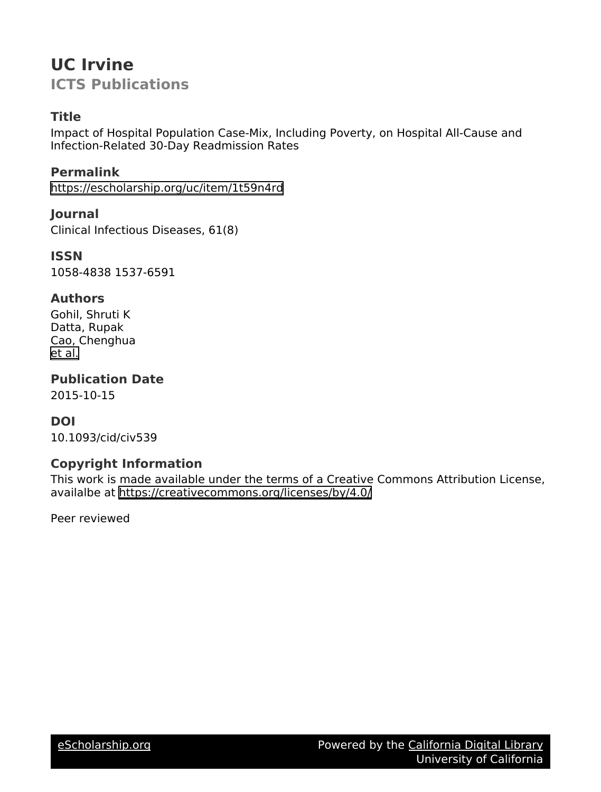## **UC Irvine ICTS Publications**

## **Title**

Impact of Hospital Population Case-Mix, Including Poverty, on Hospital All-Cause and Infection-Related 30-Day Readmission Rates

**Permalink** <https://escholarship.org/uc/item/1t59n4rd>

**Journal** Clinical Infectious Diseases, 61(8)

**ISSN** 1058-4838 1537-6591

## **Authors**

Gohil, Shruti K Datta, Rupak Cao, Chenghua [et al.](https://escholarship.org/uc/item/1t59n4rd#author)

**Publication Date** 2015-10-15

## **DOI**

10.1093/cid/civ539

## **Copyright Information**

This work is made available under the terms of a Creative Commons Attribution License, availalbe at <https://creativecommons.org/licenses/by/4.0/>

Peer reviewed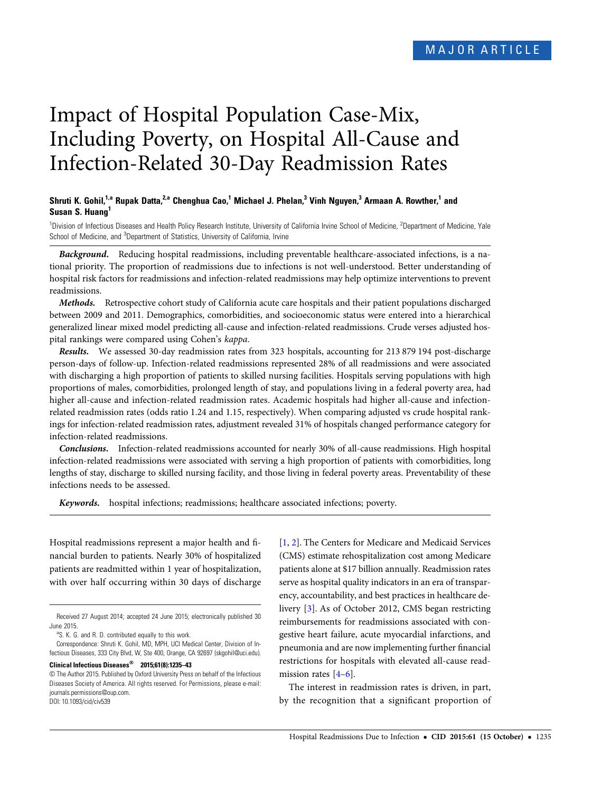# Impact of Hospital Population Case-Mix, Including Poverty, on Hospital All-Cause and Infection-Related 30-Day Readmission Rates

#### Shruti K. Gohil,<sup>1,a</sup> Rupak Datta,<sup>2,a</sup> Chenghua Cao,<sup>1</sup> Michael J. Phelan,<sup>3</sup> Vinh Nguyen,<sup>3</sup> Armaan A. Rowther,<sup>1</sup> and Susan S. Huang<sup>1</sup>

<sup>1</sup>Division of Infectious Diseases and Health Policy Research Institute, University of California Irvine School of Medicine, <sup>2</sup>Department of Medicine, Yale School of Medicine, and <sup>3</sup>Department of Statistics, University of California, Irvine

Background. Reducing hospital readmissions, including preventable healthcare-associated infections, is a national priority. The proportion of readmissions due to infections is not well-understood. Better understanding of hospital risk factors for readmissions and infection-related readmissions may help optimize interventions to prevent readmissions.

Methods. Retrospective cohort study of California acute care hospitals and their patient populations discharged between 2009 and 2011. Demographics, comorbidities, and socioeconomic status were entered into a hierarchical generalized linear mixed model predicting all-cause and infection-related readmissions. Crude verses adjusted hospital rankings were compared using Cohen's kappa.

Results. We assessed 30-day readmission rates from 323 hospitals, accounting for 213 879 194 post-discharge person-days of follow-up. Infection-related readmissions represented 28% of all readmissions and were associated with discharging a high proportion of patients to skilled nursing facilities. Hospitals serving populations with high proportions of males, comorbidities, prolonged length of stay, and populations living in a federal poverty area, had higher all-cause and infection-related readmission rates. Academic hospitals had higher all-cause and infectionrelated readmission rates (odds ratio 1.24 and 1.15, respectively). When comparing adjusted vs crude hospital rankings for infection-related readmission rates, adjustment revealed 31% of hospitals changed performance category for infection-related readmissions.

Conclusions. Infection-related readmissions accounted for nearly 30% of all-cause readmissions. High hospital infection-related readmissions were associated with serving a high proportion of patients with comorbidities, long lengths of stay, discharge to skilled nursing facility, and those living in federal poverty areas. Preventability of these infections needs to be assessed.

Keywords. hospital infections; readmissions; healthcare associated infections; poverty.

Hospital readmissions represent a major health and financial burden to patients. Nearly 30% of hospitalized patients are readmitted within 1 year of hospitalization, with over half occurring within 30 days of discharge

Clinical Infectious Diseases® 2015;61(8):1235–43

[\[1,](#page-8-0) [2\]](#page-8-0). The Centers for Medicare and Medicaid Services (CMS) estimate rehospitalization cost among Medicare patients alone at \$17 billion annually. Readmission rates serve as hospital quality indicators in an era of transparency, accountability, and best practices in healthcare delivery [[3](#page-8-0)]. As of October 2012, CMS began restricting reimbursements for readmissions associated with congestive heart failure, acute myocardial infarctions, and pneumonia and are now implementing further financial restrictions for hospitals with elevated all-cause read-mission rates [[4](#page-8-0)–[6\]](#page-8-0).

The interest in readmission rates is driven, in part, by the recognition that a significant proportion of

Received 27 August 2014; accepted 24 June 2015; electronically published 30 June 2015.

<sup>&</sup>lt;sup>a</sup>S. K. G. and R. D. contributed equally to this work.

Correspondence: Shruti K. Gohil, MD, MPH, UCI Medical Center, Division of Infectious Diseases, 333 City Blvd, W, Ste 400, Orange, CA 92697 ([skgohil@uci.edu\)](mailto:skgohil@uci.edu).

<sup>©</sup> The Author 2015. Published by Oxford University Press on behalf of the Infectious Diseases Society of America. All rights reserved. For Permissions, please e-mail: [journals.permissions@oup.com](mailto:journals.permissions@oup.com). DOI: 10.1093/cid/civ539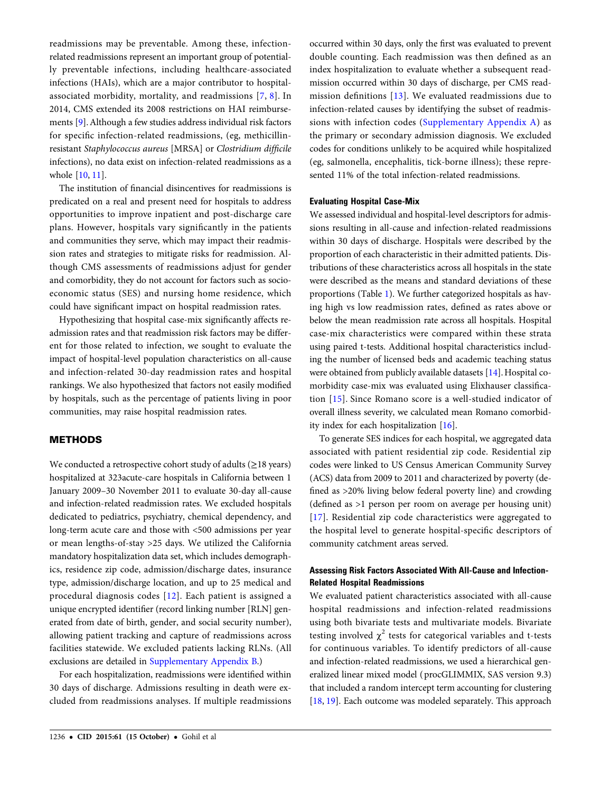readmissions may be preventable. Among these, infectionrelated readmissions represent an important group of potentially preventable infections, including healthcare-associated infections (HAIs), which are a major contributor to hospitalassociated morbidity, mortality, and readmissions [[7,](#page-8-0) [8](#page-8-0)]. In 2014, CMS extended its 2008 restrictions on HAI reimbursements [\[9](#page-8-0)].Although a few studies address individual risk factors for specific infection-related readmissions, (eg, methicillinresistant Staphylococcus aureus [MRSA] or Clostridium difficile infections), no data exist on infection-related readmissions as a whole [[10,](#page-8-0) [11](#page-8-0)].

The institution of financial disincentives for readmissions is predicated on a real and present need for hospitals to address opportunities to improve inpatient and post-discharge care plans. However, hospitals vary significantly in the patients and communities they serve, which may impact their readmission rates and strategies to mitigate risks for readmission. Although CMS assessments of readmissions adjust for gender and comorbidity, they do not account for factors such as socioeconomic status (SES) and nursing home residence, which could have significant impact on hospital readmission rates.

Hypothesizing that hospital case-mix significantly affects readmission rates and that readmission risk factors may be different for those related to infection, we sought to evaluate the impact of hospital-level population characteristics on all-cause and infection-related 30-day readmission rates and hospital rankings. We also hypothesized that factors not easily modified by hospitals, such as the percentage of patients living in poor communities, may raise hospital readmission rates.

#### **METHODS**

We conducted a retrospective cohort study of adults  $(\geq 18 \text{ years})$ hospitalized at 323acute-care hospitals in California between 1 January 2009–30 November 2011 to evaluate 30-day all-cause and infection-related readmission rates. We excluded hospitals dedicated to pediatrics, psychiatry, chemical dependency, and long-term acute care and those with <500 admissions per year or mean lengths-of-stay >25 days. We utilized the California mandatory hospitalization data set, which includes demographics, residence zip code, admission/discharge dates, insurance type, admission/discharge location, and up to 25 medical and procedural diagnosis codes [[12](#page-8-0)]. Each patient is assigned a unique encrypted identifier (record linking number [RLN] generated from date of birth, gender, and social security number), allowing patient tracking and capture of readmissions across facilities statewide. We excluded patients lacking RLNs. (All exclusions are detailed in [Supplementary Appendix B](http://cid.oxfordjournals.org/lookup/suppl/doi:10.1093/cid/civ539/-/DC1).)

For each hospitalization, readmissions were identified within 30 days of discharge. Admissions resulting in death were excluded from readmissions analyses. If multiple readmissions occurred within 30 days, only the first was evaluated to prevent double counting. Each readmission was then defined as an index hospitalization to evaluate whether a subsequent readmission occurred within 30 days of discharge, per CMS readmission definitions [[13\]](#page-8-0). We evaluated readmissions due to infection-related causes by identifying the subset of readmissions with infection codes ([Supplementary Appendix A](http://cid.oxfordjournals.org/lookup/suppl/doi:10.1093/cid/civ539/-/DC1)) as the primary or secondary admission diagnosis. We excluded codes for conditions unlikely to be acquired while hospitalized (eg, salmonella, encephalitis, tick-borne illness); these represented 11% of the total infection-related readmissions.

#### Evaluating Hospital Case-Mix

We assessed individual and hospital-level descriptors for admissions resulting in all-cause and infection-related readmissions within 30 days of discharge. Hospitals were described by the proportion of each characteristic in their admitted patients. Distributions of these characteristics across all hospitals in the state were described as the means and standard deviations of these proportions (Table [1\)](#page-3-0). We further categorized hospitals as having high vs low readmission rates, defined as rates above or below the mean readmission rate across all hospitals. Hospital case-mix characteristics were compared within these strata using paired t-tests. Additional hospital characteristics including the number of licensed beds and academic teaching status were obtained from publicly available datasets [[14\]](#page-8-0). Hospital comorbidity case-mix was evaluated using Elixhauser classification [[15](#page-8-0)]. Since Romano score is a well-studied indicator of overall illness severity, we calculated mean Romano comorbidity index for each hospitalization [\[16\]](#page-8-0).

To generate SES indices for each hospital, we aggregated data associated with patient residential zip code. Residential zip codes were linked to US Census American Community Survey (ACS) data from 2009 to 2011 and characterized by poverty (defined as >20% living below federal poverty line) and crowding (defined as >1 person per room on average per housing unit) [\[17\]](#page-8-0). Residential zip code characteristics were aggregated to the hospital level to generate hospital-specific descriptors of community catchment areas served.

#### Assessing Risk Factors Associated With All-Cause and Infection-Related Hospital Readmissions

We evaluated patient characteristics associated with all-cause hospital readmissions and infection-related readmissions using both bivariate tests and multivariate models. Bivariate testing involved  $\chi^2$  tests for categorical variables and t-tests for continuous variables. To identify predictors of all-cause and infection-related readmissions, we used a hierarchical generalized linear mixed model ( procGLIMMIX, SAS version 9.3) that included a random intercept term accounting for clustering [\[18](#page-8-0), [19](#page-8-0)]. Each outcome was modeled separately. This approach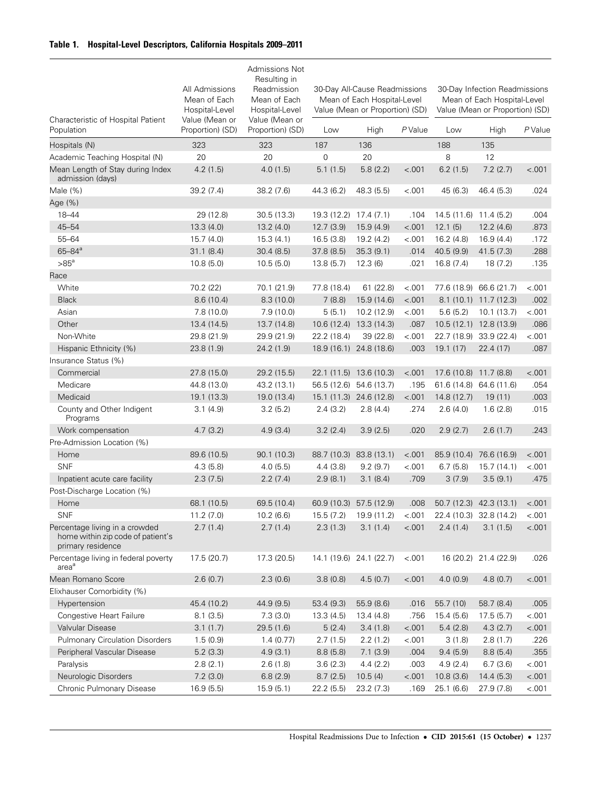#### <span id="page-3-0"></span>Table 1. Hospital-Level Descriptors, California Hospitals 2009–2011

|                                                                                          | All Admissions<br>Mean of Each<br>Hospital-Level<br>Value (Mean or<br>Proportion) (SD) | Admissions Not<br>Resulting in<br>Readmission<br>Mean of Each<br>Hospital-Level<br>Value (Mean or<br>Proportion) (SD) | 30-Day All-Cause Readmissions<br>Mean of Each Hospital-Level<br>Value (Mean or Proportion) (SD) |                         |         | 30-Day Infection Readmissions<br>Mean of Each Hospital-Level<br>Value (Mean or Proportion) (SD) |                         |         |
|------------------------------------------------------------------------------------------|----------------------------------------------------------------------------------------|-----------------------------------------------------------------------------------------------------------------------|-------------------------------------------------------------------------------------------------|-------------------------|---------|-------------------------------------------------------------------------------------------------|-------------------------|---------|
| Characteristic of Hospital Patient<br>Population                                         |                                                                                        |                                                                                                                       | Low                                                                                             | High                    | P Value | Low                                                                                             | High                    | P Value |
| Hospitals (N)                                                                            | 323                                                                                    | 323                                                                                                                   | 187                                                                                             | 136                     |         | 188                                                                                             | 135                     |         |
| Academic Teaching Hospital (N)                                                           | 20                                                                                     | 20                                                                                                                    | 0                                                                                               | 20                      |         | 8                                                                                               | 12                      |         |
| Mean Length of Stay during Index<br>admission (days)                                     | 4.2(1.5)                                                                               | 4.0(1.5)                                                                                                              | 5.1(1.5)                                                                                        | 5.8(2.2)                | < .001  | 6.2(1.5)                                                                                        | 7.2(2.7)                | < .001  |
| Male (%)                                                                                 | 39.2 (7.4)                                                                             | 38.2 (7.6)                                                                                                            | 44.3 (6.2)                                                                                      | 48.3 (5.5)              | $-.001$ | 45 (6.3)                                                                                        | 46.4 (5.3)              | .024    |
| Age (%)                                                                                  |                                                                                        |                                                                                                                       |                                                                                                 |                         |         |                                                                                                 |                         |         |
| 18-44                                                                                    | 29 (12.8)                                                                              | 30.5(13.3)                                                                                                            | 19.3 (12.2) 17.4 (7.1)                                                                          |                         | .104    | 14.5 (11.6) 11.4 (5.2)                                                                          |                         | .004    |
| $45 - 54$                                                                                | 13.3(4.0)                                                                              | 13.2(4.0)                                                                                                             | 12.7(3.9)                                                                                       | 15.9(4.9)               | < .001  | 12.1(5)                                                                                         | 12.2(4.6)               | .873    |
| 55-64                                                                                    | 15.7(4.0)                                                                              | 15.3(4.1)                                                                                                             | 16.5(3.8)                                                                                       | 19.2 (4.2)              | $-.001$ | 16.2 (4.8)                                                                                      | 16.9(4.4)               | .172    |
| $65 - 84$ <sup>a</sup>                                                                   | 31.1(8.4)                                                                              | 30.4(8.5)                                                                                                             | 37.8(8.5)                                                                                       | 35.3(9.1)               | .014    | 40.5(9.9)                                                                                       | 41.5(7.3)               | .288    |
| $>85^\circ$                                                                              | 10.8(5.0)                                                                              | 10.5(5.0)                                                                                                             | 13.8(5.7)                                                                                       | 12.3(6)                 | .021    | 16.8 (7.4)                                                                                      | 18(7.2)                 | .135    |
| Race                                                                                     |                                                                                        |                                                                                                                       |                                                                                                 |                         |         |                                                                                                 |                         |         |
| White                                                                                    | 70.2 (22)                                                                              | 70.1 (21.9)                                                                                                           | 77.8 (18.4)                                                                                     | 61 (22.8)               | < .001  |                                                                                                 | 77.6 (18.9) 66.6 (21.7) | $-.001$ |
| <b>Black</b>                                                                             | 8.6(10.4)                                                                              | 8.3(10.0)                                                                                                             | 7(8.8)                                                                                          | 15.9 (14.6)             | $-.001$ |                                                                                                 | 8.1 (10.1) 11.7 (12.3)  | .002    |
| Asian                                                                                    | 7.8(10.0)                                                                              | 7.9(10.0)                                                                                                             | 5(5.1)                                                                                          | 10.2 (12.9)             | < .001  | 5.6(5.2)                                                                                        | 10.1(13.7)              | < .001  |
| Other                                                                                    | 13.4 (14.5)                                                                            | 13.7 (14.8)                                                                                                           |                                                                                                 | 10.6 (12.4) 13.3 (14.3) | .087    |                                                                                                 | 10.5 (12.1) 12.8 (13.9) | .086    |
| Non-White                                                                                | 29.8 (21.9)                                                                            | 29.9 (21.9)                                                                                                           | 22.2 (18.4)                                                                                     | 39 (22.8)               | < .001  |                                                                                                 | 22.7 (18.9) 33.9 (22.4) | $-.001$ |
| Hispanic Ethnicity (%)                                                                   | 23.8 (1.9)                                                                             | 24.2(1.9)                                                                                                             |                                                                                                 | 18.9 (16.1) 24.8 (18.6) | .003    | 19.1(17)                                                                                        | 22.4(17)                | .087    |
| Insurance Status (%)                                                                     |                                                                                        |                                                                                                                       |                                                                                                 |                         |         |                                                                                                 |                         |         |
| Commercial                                                                               | 27.8 (15.0)                                                                            | 29.2 (15.5)                                                                                                           |                                                                                                 | 22.1 (11.5) 13.6 (10.3) | < .001  | 17.6 (10.8) 11.7 (8.8)                                                                          |                         | < .001  |
| Medicare                                                                                 | 44.8 (13.0)                                                                            | 43.2 (13.1)                                                                                                           |                                                                                                 | 56.5 (12.6) 54.6 (13.7) | .195    |                                                                                                 | 61.6 (14.8) 64.6 (11.6) | .054    |
| Medicaid                                                                                 | 19.1 (13.3)                                                                            | 19.0 (13.4)                                                                                                           |                                                                                                 | 15.1 (11.3) 24.6 (12.8) | < .001  | 14.8(12.7)                                                                                      | 19(11)                  | .003    |
| County and Other Indigent<br>Programs                                                    | 3.1(4.9)                                                                               | 3.2(5.2)                                                                                                              | 2.4(3.2)                                                                                        | 2.8(4.4)                | .274    | 2.6(4.0)                                                                                        | 1.6(2.8)                | .015    |
| Work compensation                                                                        | 4.7(3.2)                                                                               | 4.9(3.4)                                                                                                              | 3.2(2.4)                                                                                        | 3.9(2.5)                | .020    | 2.9(2.7)                                                                                        | 2.6(1.7)                | .243    |
| Pre-Admission Location (%)                                                               |                                                                                        |                                                                                                                       |                                                                                                 |                         |         |                                                                                                 |                         |         |
| Home                                                                                     | 89.6 (10.5)                                                                            | 90.1(10.3)                                                                                                            | 88.7 (10.3)                                                                                     | 83.8 (13.1)             | < .001  |                                                                                                 | 85.9 (10.4) 76.6 (16.9) | < .001  |
| <b>SNF</b>                                                                               | 4.3(5.8)                                                                               | 4.0(5.5)                                                                                                              | 4.4(3.8)                                                                                        | 9.2(9.7)                | $-.001$ | 6.7(5.8)                                                                                        | 15.7(14.1)              | < .001  |
| Inpatient acute care facility                                                            | 2.3(7.5)                                                                               | 2.2(7.4)                                                                                                              | 2.9(8.1)                                                                                        | 3.1(8.4)                | .709    | 3(7.9)                                                                                          | 3.5(9.1)                | .475    |
| Post-Discharge Location (%)                                                              |                                                                                        |                                                                                                                       |                                                                                                 |                         |         |                                                                                                 |                         |         |
| Home                                                                                     | 68.1 (10.5)                                                                            | 69.5 (10.4)                                                                                                           |                                                                                                 | 60.9 (10.3) 57.5 (12.9) | .008    |                                                                                                 | 50.7 (12.3) 42.3 (13.1) | < .001  |
| <b>SNF</b>                                                                               | 11.2(7.0)                                                                              | 10.2(6.6)                                                                                                             |                                                                                                 | 15.5 (7.2) 19.9 (11.2)  | < .001  |                                                                                                 | 22.4 (10.3) 32.8 (14.2) | < .001  |
| Percentage living in a crowded<br>home within zip code of patient's<br>primary residence | 2.7(1.4)                                                                               | 2.7(1.4)                                                                                                              | 2.3(1.3)                                                                                        | 3.1(1.4)                | < .001  | 2.4(1.4)                                                                                        | 3.1(1.5)                | < .001  |
| Percentage living in federal poverty<br>area <sup>a</sup>                                | 17.5 (20.7)                                                                            | 17.3 (20.5)                                                                                                           |                                                                                                 | 14.1 (19.6) 24.1 (22.7) | $-.001$ |                                                                                                 | 16 (20.2) 21.4 (22.9)   | .026    |
| Mean Romano Score                                                                        | 2.6(0.7)                                                                               | 2.3(0.6)                                                                                                              | 3.8(0.8)                                                                                        | 4.5(0.7)                | < .001  | 4.0(0.9)                                                                                        | 4.8(0.7)                | < .001  |
| Elixhauser Comorbidity (%)                                                               |                                                                                        |                                                                                                                       |                                                                                                 |                         |         |                                                                                                 |                         |         |
| Hypertension                                                                             | 45.4 (10.2)                                                                            | 44.9 (9.5)                                                                                                            | 53.4(9.3)                                                                                       | 55.9 (8.6)              | .016    | 55.7 (10)                                                                                       | 58.7 (8.4)              | .005    |
| Congestive Heart Failure                                                                 | 8.1(3.5)                                                                               | 7.3(3.0)                                                                                                              | 13.3 (4.5)                                                                                      | 13.4(4.8)               | .756    | 15.4(5.6)                                                                                       | 17.5(5.7)               | < .001  |
| Valvular Disease                                                                         | 3.1(1.7)                                                                               | 29.5(1.6)                                                                                                             | 5(2.4)                                                                                          | 3.4(1.8)                | < .001  | 5.4(2.8)                                                                                        | 4.3(2.7)                | < .001  |
| <b>Pulmonary Circulation Disorders</b>                                                   | 1.5(0.9)                                                                               | 1.4(0.77)                                                                                                             | 2.7(1.5)                                                                                        | 2.2(1.2)                | < .001  | 3(1.8)                                                                                          | 2.8(1.7)                | .226    |
| Peripheral Vascular Disease                                                              | 5.2(3.3)                                                                               | 4.9(3.1)                                                                                                              | 8.8(5.8)                                                                                        | 7.1(3.9)                | .004    | 9.4(5.9)                                                                                        | 8.8(5.4)                | .355    |
| Paralysis                                                                                | 2.8(2.1)                                                                               | 2.6(1.8)                                                                                                              | 3.6(2.3)                                                                                        | 4.4(2.2)                | .003    | 4.9(2.4)                                                                                        | 6.7(3.6)                | < .001  |
| Neurologic Disorders                                                                     | 7.2(3.0)                                                                               | 6.8(2.9)                                                                                                              | 8.7(2.5)                                                                                        | 10.5(4)                 | < .001  | 10.8(3.6)                                                                                       | 14.4 (5.3)              | < .001  |
| Chronic Pulmonary Disease                                                                | 16.9 (5.5)                                                                             | 15.9 (5.1)                                                                                                            | 22.2 (5.5)                                                                                      | 23.2 (7.3)              | .169    | 25.1(6.6)                                                                                       | 27.9 (7.8)              | < .001  |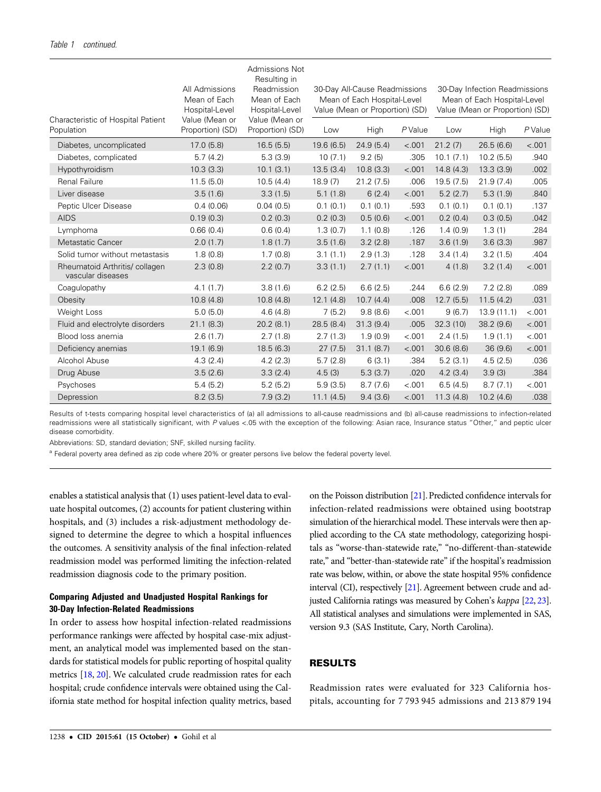| Characteristic of Hospital Patient<br>Population    | All Admissions<br>Mean of Each<br>Hospital-Level<br>Value (Mean or<br>Proportion) (SD) | Admissions Not<br>Resulting in<br>Readmission<br>Mean of Each<br>Hospital-Level<br>Value (Mean or<br>Proportion) (SD) | 30-Day All-Cause Readmissions<br>Mean of Each Hospital-Level<br>Value (Mean or Proportion) (SD) |           |           | 30-Day Infection Readmissions<br>Mean of Each Hospital-Level<br>Value (Mean or Proportion) (SD) |            |         |
|-----------------------------------------------------|----------------------------------------------------------------------------------------|-----------------------------------------------------------------------------------------------------------------------|-------------------------------------------------------------------------------------------------|-----------|-----------|-------------------------------------------------------------------------------------------------|------------|---------|
|                                                     |                                                                                        |                                                                                                                       | Low                                                                                             | High      | $P$ Value | Low                                                                                             | High       | P Value |
| Diabetes, uncomplicated                             | 17.0(5.8)                                                                              | 16.5(5.5)                                                                                                             | 19.6(6.5)                                                                                       | 24.9(5.4) | < .001    | 21.2(7)                                                                                         | 26.5(6.6)  | < .001  |
| Diabetes, complicated                               | 5.7(4.2)                                                                               | 5.3(3.9)                                                                                                              | 10(7.1)                                                                                         | 9.2(5)    | .305      | 10.1(7.1)                                                                                       | 10.2(5.5)  | .940    |
| Hypothyroidism                                      | 10.3(3.3)                                                                              | 10.1(3.1)                                                                                                             | 13.5(3.4)                                                                                       | 10.8(3.3) | < .001    | 14.8(4.3)                                                                                       | 13.3(3.9)  | .002    |
| <b>Renal Failure</b>                                | 11.5(5.0)                                                                              | 10.5(4.4)                                                                                                             | 18.9(7)                                                                                         | 21.2(7.5) | .006      | 19.5(7.5)                                                                                       | 21.9(7.4)  | .005    |
| Liver disease                                       | 3.5(1.6)                                                                               | 3.3(1.5)                                                                                                              | 5.1(1.8)                                                                                        | 6(2.4)    | < .001    | 5.2(2.7)                                                                                        | 5.3(1.9)   | .840    |
| Peptic Ulcer Disease                                | 0.4(0.06)                                                                              | 0.04(0.5)                                                                                                             | 0.1(0.1)                                                                                        | 0.1(0.1)  | .593      | 0.1(0.1)                                                                                        | 0.1(0.1)   | .137    |
| <b>AIDS</b>                                         | 0.19(0.3)                                                                              | 0.2(0.3)                                                                                                              | 0.2(0.3)                                                                                        | 0.5(0.6)  | < .001    | 0.2(0.4)                                                                                        | 0.3(0.5)   | .042    |
| Lymphoma                                            | 0.66(0.4)                                                                              | 0.6(0.4)                                                                                                              | 1.3(0.7)                                                                                        | 1.1(0.8)  | .126      | 1.4(0.9)                                                                                        | 1.3(1)     | .284    |
| Metastatic Cancer                                   | 2.0(1.7)                                                                               | 1.8(1.7)                                                                                                              | 3.5(1.6)                                                                                        | 3.2(2.8)  | .187      | 3.6(1.9)                                                                                        | 3.6(3.3)   | .987    |
| Solid tumor without metastasis                      | 1.8(0.8)                                                                               | 1.7(0.8)                                                                                                              | 3.1(1.1)                                                                                        | 2.9(1.3)  | .128      | 3.4(1.4)                                                                                        | 3.2(1.5)   | .404    |
| Rheumatoid Arthritis/ collagen<br>vascular diseases | 2.3(0.8)                                                                               | 2.2(0.7)                                                                                                              | 3.3(1.1)                                                                                        | 2.7(1.1)  | < .001    | 4(1.8)                                                                                          | 3.2(1.4)   | < .001  |
| Coagulopathy                                        | 4.1(1.7)                                                                               | 3.8(1.6)                                                                                                              | 6.2(2.5)                                                                                        | 6.6(2.5)  | .244      | 6.6(2.9)                                                                                        | 7.2(2.8)   | .089    |
| Obesity                                             | 10.8(4.8)                                                                              | 10.8(4.8)                                                                                                             | 12.1(4.8)                                                                                       | 10.7(4.4) | .008      | 12.7(5.5)                                                                                       | 11.5(4.2)  | .031    |
| <b>Weight Loss</b>                                  | 5.0(5.0)                                                                               | 4.6(4.8)                                                                                                              | 7(5.2)                                                                                          | 9.8(8.6)  | < .001    | 9(6.7)                                                                                          | 13.9(11.1) | < .001  |
| Fluid and electrolyte disorders                     | 21.1(8.3)                                                                              | 20.2(8.1)                                                                                                             | 28.5(8.4)                                                                                       | 31.3(9.4) | .005      | 32.3(10)                                                                                        | 38.2 (9.6) | < .001  |
| Blood loss anemia                                   | 2.6(1.7)                                                                               | 2.7(1.8)                                                                                                              | 2.7(1.3)                                                                                        | 1.9(0.9)  | < .001    | 2.4(1.5)                                                                                        | 1.9(1.1)   | $-.001$ |
| Deficiency anemias                                  | 19.1 (6.9)                                                                             | 18.5(6.3)                                                                                                             | 27(7.5)                                                                                         | 31.1(8.7) | < .001    | 30.6(8.6)                                                                                       | 36 (9.6)   | < .001  |
| Alcohol Abuse                                       | 4.3(2.4)                                                                               | 4.2(2.3)                                                                                                              | 5.7(2.8)                                                                                        | 6(3.1)    | .384      | 5.2(3.1)                                                                                        | 4.5(2.5)   | .036    |
| Drug Abuse                                          | 3.5(2.6)                                                                               | 3.3(2.4)                                                                                                              | 4.5(3)                                                                                          | 5.3(3.7)  | .020      | 4.2(3.4)                                                                                        | 3.9(3)     | .384    |
| Psychoses                                           | 5.4(5.2)                                                                               | 5.2(5.2)                                                                                                              | 5.9(3.5)                                                                                        | 8.7(7.6)  | < .001    | 6.5(4.5)                                                                                        | 8.7(7.1)   | < .001  |
| Depression                                          | 8.2(3.5)                                                                               | 7.9(3.2)                                                                                                              | 11.1(4.5)                                                                                       | 9.4(3.6)  | < .001    | 11.3(4.8)                                                                                       | 10.2(4.6)  | .038    |

Results of t-tests comparing hospital level characteristics of (a) all admissions to all-cause readmissions and (b) all-cause readmissions to infection-related readmissions were all statistically significant, with P values <.05 with the exception of the following: Asian race, Insurance status "Other," and peptic ulcer disease comorbidity.

Abbreviations: SD, standard deviation; SNF, skilled nursing facility.

<sup>a</sup> Federal poverty area defined as zip code where 20% or greater persons live below the federal poverty level.

enables a statistical analysis that (1) uses patient-level data to evaluate hospital outcomes, (2) accounts for patient clustering within hospitals, and (3) includes a risk-adjustment methodology designed to determine the degree to which a hospital influences the outcomes. A sensitivity analysis of the final infection-related readmission model was performed limiting the infection-related readmission diagnosis code to the primary position.

#### Comparing Adjusted and Unadjusted Hospital Rankings for 30-Day Infection-Related Readmissions

In order to assess how hospital infection-related readmissions performance rankings were affected by hospital case-mix adjustment, an analytical model was implemented based on the standards for statistical models for public reporting of hospital quality metrics [\[18](#page-8-0), [20](#page-8-0)]. We calculated crude readmission rates for each hospital; crude confidence intervals were obtained using the California state method for hospital infection quality metrics, based

on the Poisson distribution [[21](#page-8-0)]. Predicted confidence intervals for infection-related readmissions were obtained using bootstrap simulation of the hierarchical model. These intervals were then applied according to the CA state methodology, categorizing hospitals as "worse-than-statewide rate," "no-different-than-statewide rate," and "better-than-statewide rate" if the hospital's readmission rate was below, within, or above the state hospital 95% confidence interval (CI), respectively [\[21\]](#page-8-0). Agreement between crude and adjusted California ratings was measured by Cohen's kappa [[22](#page-8-0), [23\]](#page-8-0). All statistical analyses and simulations were implemented in SAS, version 9.3 (SAS Institute, Cary, North Carolina).

#### RESULTS

Readmission rates were evaluated for 323 California hospitals, accounting for 7 793 945 admissions and 213 879 194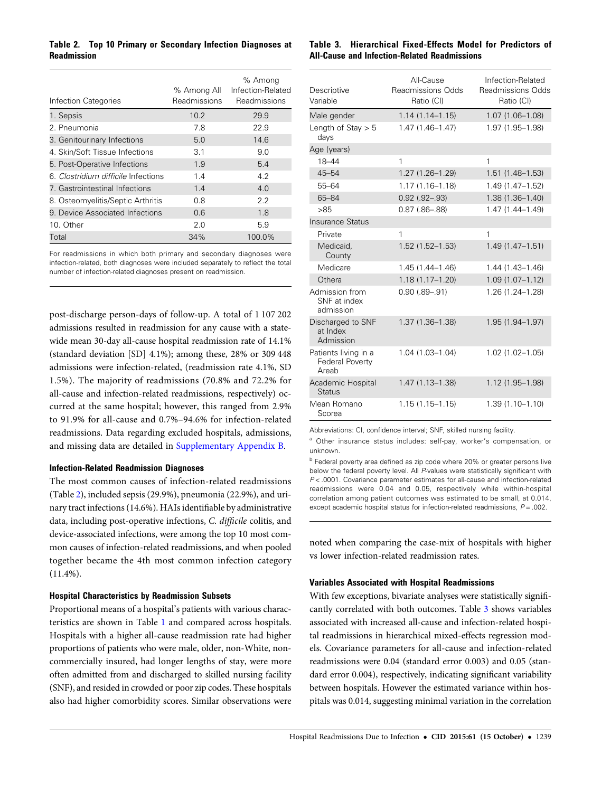#### <span id="page-5-0"></span>Table 2. Top 10 Primary or Secondary Infection Diagnoses at Readmission

| Infection Categories                | % Among All<br>Readmissions | % Among<br>Infection-Related<br>Readmissions |
|-------------------------------------|-----------------------------|----------------------------------------------|
| 1. Sepsis                           | 10.2                        | 29.9                                         |
| 2. Pneumonia                        | 7.8                         | 22.9                                         |
| 3. Genitourinary Infections         | 5.0                         | 14.6                                         |
| 4. Skin/Soft Tissue Infections      | 3.1                         | 9.0                                          |
| 5. Post-Operative Infections        | 1.9                         | 5.4                                          |
| 6. Clostridium difficile Infections | 1.4                         | 4.2                                          |
| 7. Gastrointestinal Infections      | 1.4                         | 4.0                                          |
| 8. Osteomyelitis/Septic Arthritis   | 0.8                         | 2.2                                          |
| 9. Device Associated Infections     | 0.6                         | 1.8                                          |
| 10. Other                           | 2.0                         | 5.9                                          |
| Total                               | 34%                         | 100.0%                                       |

For readmissions in which both primary and secondary diagnoses were infection-related, both diagnoses were included separately to reflect the total number of infection-related diagnoses present on readmission.

post-discharge person-days of follow-up. A total of 1 107 202 admissions resulted in readmission for any cause with a statewide mean 30-day all-cause hospital readmission rate of 14.1% (standard deviation [SD] 4.1%); among these, 28% or 309 448 admissions were infection-related, (readmission rate 4.1%, SD 1.5%). The majority of readmissions (70.8% and 72.2% for all-cause and infection-related readmissions, respectively) occurred at the same hospital; however, this ranged from 2.9% to 91.9% for all-cause and 0.7%–94.6% for infection-related readmissions. Data regarding excluded hospitals, admissions, and missing data are detailed in [Supplementary Appendix B](http://cid.oxfordjournals.org/lookup/suppl/doi:10.1093/cid/civ539/-/DC1).

#### Infection-Related Readmission Diagnoses

The most common causes of infection-related readmissions (Table 2), included sepsis (29.9%), pneumonia (22.9%), and urinary tract infections (14.6%). HAIs identifiable by administrative data, including post-operative infections, C. difficile colitis, and device-associated infections, were among the top 10 most common causes of infection-related readmissions, and when pooled together became the 4th most common infection category  $(11.4\%)$ .

#### Hospital Characteristics by Readmission Subsets

Proportional means of a hospital's patients with various characteristics are shown in Table [1](#page-3-0) and compared across hospitals. Hospitals with a higher all-cause readmission rate had higher proportions of patients who were male, older, non-White, noncommercially insured, had longer lengths of stay, were more often admitted from and discharged to skilled nursing facility (SNF), and resided in crowded or poor zip codes. These hospitals also had higher comorbidity scores. Similar observations were

#### Table 3. Hierarchical Fixed-Effects Model for Predictors of All-Cause and Infection-Related Readmissions

| Descriptive<br>Variable                                 | All-Cause<br>Readmissions Odds<br>Ratio (CI) | Infection-Related<br>Readmissions Odds<br>Ratio (CI) |
|---------------------------------------------------------|----------------------------------------------|------------------------------------------------------|
| Male gender                                             | $1.14(1.14 - 1.15)$                          | 1.07 (1.06-1.08)                                     |
| Length of $Stav > 5$<br>days                            | $1.47(1.46 - 1.47)$                          | 1.97 (1.95-1.98)                                     |
| Age (years)                                             |                                              |                                                      |
| 18-44                                                   | 1                                            | 1                                                    |
| $45 - 54$                                               | 1.27 (1.26-1.29)                             | 1.51 (1.48-1.53)                                     |
| 55-64                                                   | $1.17(1.16 - 1.18)$                          | 1.49 (1.47-1.52)                                     |
| 65-84                                                   | $0.92$ $(.92 - .93)$                         | 1.38 (1.36-1.40)                                     |
| >85                                                     | $0.87(.86 - .88)$                            | 1.47 (1.44-1.49)                                     |
| Insurance Status                                        |                                              |                                                      |
| Private                                                 | 1                                            | 1                                                    |
| Medicaid.<br>County                                     | 1.52 (1.52-1.53)                             | 1.49 (1.47-1.51)                                     |
| Medicare                                                | 1.45 (1.44-1.46)                             | 1.44 (1.43-1.46)                                     |
| Othera                                                  | $1.18(1.17 - 1.20)$                          | $1.09(1.07 - 1.12)$                                  |
| Admission from<br>SNF at index<br>admission             | $0.90(.89-.91)$                              | 1.26 (1.24-1.28)                                     |
| Discharged to SNF<br>at Index<br>Admission              | 1.37 (1.36-1.38)                             | 1.95 (1.94-1.97)                                     |
| Patients living in a<br><b>Federal Poverty</b><br>Areab | 1.04 (1.03-1.04)                             | 1.02 (1.02-1.05)                                     |
| Academic Hospital<br><b>Status</b>                      | 1.47 (1.13-1.38)                             | 1.12 (1.95-1.98)                                     |
| Mean Romano<br>Scorea                                   | $1.15(1.15 - 1.15)$                          | 1.39 (1.10-1.10)                                     |

Abbreviations: CI, confidence interval; SNF, skilled nursing facility.

<sup>a</sup> Other insurance status includes: self-pay, worker's compensation, or unknown.

b Federal poverty area defined as zip code where 20% or greater persons live below the federal poverty level. All P-values were statistically significant with P < .0001. Covariance parameter estimates for all-cause and infection-related readmissions were 0.04 and 0.05, respectively while within-hospital correlation among patient outcomes was estimated to be small, at 0.014, except academic hospital status for infection-related readmissions,  $P = .002$ .

noted when comparing the case-mix of hospitals with higher vs lower infection-related readmission rates.

#### Variables Associated with Hospital Readmissions

With few exceptions, bivariate analyses were statistically significantly correlated with both outcomes. Table 3 shows variables associated with increased all-cause and infection-related hospital readmissions in hierarchical mixed-effects regression models. Covariance parameters for all-cause and infection-related readmissions were 0.04 (standard error 0.003) and 0.05 (standard error 0.004), respectively, indicating significant variability between hospitals. However the estimated variance within hospitals was 0.014, suggesting minimal variation in the correlation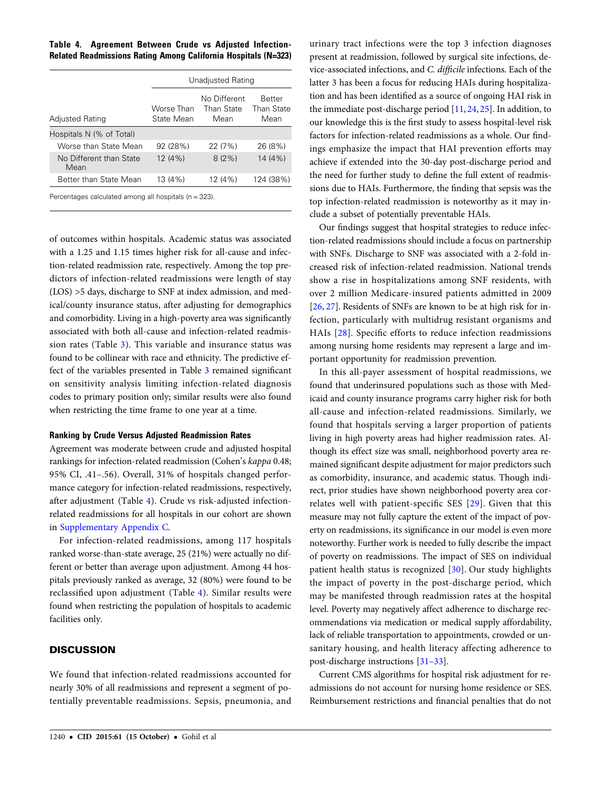Table 4. Agreement Between Crude vs Adjusted Infection-Related Readmissions Rating Among California Hospitals (N=323)

| <b>Unadjusted Rating</b> |                                    |                                            |  |  |
|--------------------------|------------------------------------|--------------------------------------------|--|--|
| Worse Than<br>State Mean | No Different<br>Than State<br>Mean | <b>Better</b><br><b>Than State</b><br>Mean |  |  |
|                          |                                    |                                            |  |  |
| 92 (28%)                 | 22(7%)                             | 26 (8%)                                    |  |  |
| 12(4%)                   | 8(2%)                              | 14(4%)                                     |  |  |
| 13 (4%)                  | 12(4%)                             | 124 (38%)                                  |  |  |
|                          |                                    |                                            |  |  |

Percentages calculated among all hospitals (n = 323).

of outcomes within hospitals. Academic status was associated with a 1.25 and 1.15 times higher risk for all-cause and infection-related readmission rate, respectively. Among the top predictors of infection-related readmissions were length of stay (LOS) >5 days, discharge to SNF at index admission, and medical/county insurance status, after adjusting for demographics and comorbidity. Living in a high-poverty area was significantly associated with both all-cause and infection-related readmission rates (Table [3\)](#page-5-0). This variable and insurance status was found to be collinear with race and ethnicity. The predictive effect of the variables presented in Table [3](#page-5-0) remained significant on sensitivity analysis limiting infection-related diagnosis codes to primary position only; similar results were also found when restricting the time frame to one year at a time.

#### Ranking by Crude Versus Adjusted Readmission Rates

Agreement was moderate between crude and adjusted hospital rankings for infection-related readmission (Cohen's kappa 0.48; 95% CI, .41–.56). Overall, 31% of hospitals changed performance category for infection-related readmissions, respectively, after adjustment (Table 4). Crude vs risk-adjusted infectionrelated readmissions for all hospitals in our cohort are shown in [Supplementary Appendix C](http://cid.oxfordjournals.org/lookup/suppl/doi:10.1093/cid/civ539/-/DC1).

For infection-related readmissions, among 117 hospitals ranked worse-than-state average, 25 (21%) were actually no different or better than average upon adjustment. Among 44 hospitals previously ranked as average, 32 (80%) were found to be reclassified upon adjustment (Table 4). Similar results were found when restricting the population of hospitals to academic facilities only.

#### **DISCUSSION**

We found that infection-related readmissions accounted for nearly 30% of all readmissions and represent a segment of potentially preventable readmissions. Sepsis, pneumonia, and

urinary tract infections were the top 3 infection diagnoses present at readmission, followed by surgical site infections, device-associated infections, and C. difficile infections. Each of the latter 3 has been a focus for reducing HAIs during hospitalization and has been identified as a source of ongoing HAI risk in the immediate post-discharge period [\[11](#page-8-0), [24,](#page-8-0) [25](#page-8-0)]. In addition, to our knowledge this is the first study to assess hospital-level risk factors for infection-related readmissions as a whole. Our findings emphasize the impact that HAI prevention efforts may achieve if extended into the 30-day post-discharge period and the need for further study to define the full extent of readmissions due to HAIs. Furthermore, the finding that sepsis was the top infection-related readmission is noteworthy as it may include a subset of potentially preventable HAIs.

Our findings suggest that hospital strategies to reduce infection-related readmissions should include a focus on partnership with SNFs. Discharge to SNF was associated with a 2-fold increased risk of infection-related readmission. National trends show a rise in hospitalizations among SNF residents, with over 2 million Medicare-insured patients admitted in 2009 [\[26](#page-8-0), [27](#page-8-0)]. Residents of SNFs are known to be at high risk for infection, particularly with multidrug resistant organisms and HAIs [[28](#page-8-0)]. Specific efforts to reduce infection readmissions among nursing home residents may represent a large and important opportunity for readmission prevention.

In this all-payer assessment of hospital readmissions, we found that underinsured populations such as those with Medicaid and county insurance programs carry higher risk for both all-cause and infection-related readmissions. Similarly, we found that hospitals serving a larger proportion of patients living in high poverty areas had higher readmission rates. Although its effect size was small, neighborhood poverty area remained significant despite adjustment for major predictors such as comorbidity, insurance, and academic status. Though indirect, prior studies have shown neighborhood poverty area correlates well with patient-specific SES [\[29](#page-8-0)]. Given that this measure may not fully capture the extent of the impact of poverty on readmissions, its significance in our model is even more noteworthy. Further work is needed to fully describe the impact of poverty on readmissions. The impact of SES on individual patient health status is recognized [\[30](#page-8-0)]. Our study highlights the impact of poverty in the post-discharge period, which may be manifested through readmission rates at the hospital level. Poverty may negatively affect adherence to discharge recommendations via medication or medical supply affordability, lack of reliable transportation to appointments, crowded or unsanitary housing, and health literacy affecting adherence to post-discharge instructions [[31](#page-8-0)–[33](#page-8-0)].

Current CMS algorithms for hospital risk adjustment for readmissions do not account for nursing home residence or SES. Reimbursement restrictions and financial penalties that do not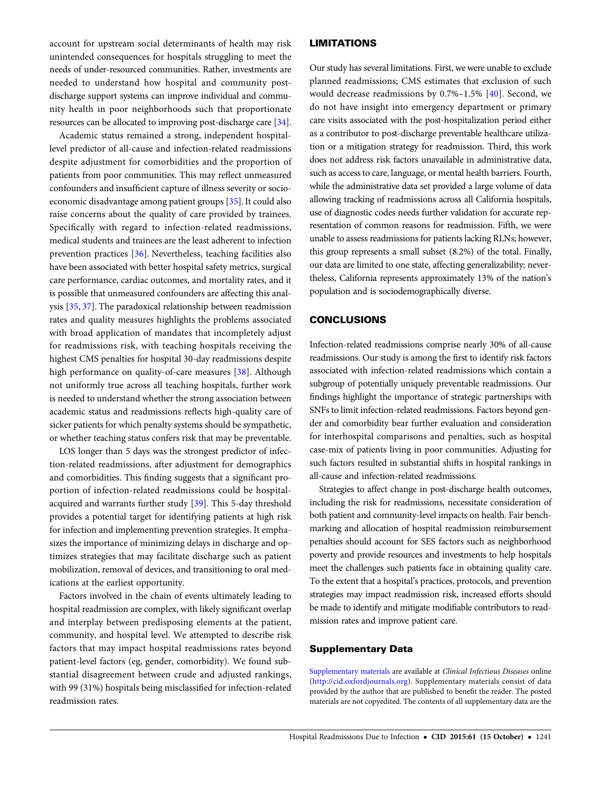account for upstream social determinants of health may risk unintended consequences for hospitals struggling to meet the needs of under-resourced communities. Rather, investments are needed to understand how hospital and community postdischarge support systems can improve individual and community health in poor neighborhoods such that proportionate resources can be allocated to improving post-discharge care [[34\]](#page-8-0).

Academic status remained a strong, independent hospitallevel predictor of all-cause and infection-related readmissions despite adjustment for comorbidities and the proportion of patients from poor communities. This may reflect unmeasured confounders and insufficient capture of illness severity or socioeconomic disadvantage among patient groups [\[35](#page-9-0)]. It could also raise concerns about the quality of care provided by trainees. Specifically with regard to infection-related readmissions, medical students and trainees are the least adherent to infection prevention practices [[36](#page-9-0)]. Nevertheless, teaching facilities also have been associated with better hospital safety metrics, surgical care performance, cardiac outcomes, and mortality rates, and it is possible that unmeasured confounders are affecting this analysis [\[35](#page-9-0), [37](#page-9-0)]. The paradoxical relationship between readmission rates and quality measures highlights the problems associated with broad application of mandates that incompletely adjust for readmissions risk, with teaching hospitals receiving the highest CMS penalties for hospital 30-day readmissions despite high performance on quality-of-care measures [\[38](#page-9-0)]. Although not uniformly true across all teaching hospitals, further work is needed to understand whether the strong association between academic status and readmissions reflects high-quality care of sicker patients for which penalty systems should be sympathetic, or whether teaching status confers risk that may be preventable.

LOS longer than 5 days was the strongest predictor of infection-related readmissions, after adjustment for demographics and comorbidities. This finding suggests that a significant proportion of infection-related readmissions could be hospitalacquired and warrants further study [[39\]](#page-9-0). This 5-day threshold provides a potential target for identifying patients at high risk for infection and implementing prevention strategies. It emphasizes the importance of minimizing delays in discharge and optimizes strategies that may facilitate discharge such as patient mobilization, removal of devices, and transitioning to oral medications at the earliest opportunity.

Factors involved in the chain of events ultimately leading to hospital readmission are complex, with likely significant overlap and interplay between predisposing elements at the patient, community, and hospital level. We attempted to describe risk factors that may impact hospital readmissions rates beyond patient-level factors (eg, gender, comorbidity). We found substantial disagreement between crude and adjusted rankings, with 99 (31%) hospitals being misclassified for infection-related readmission rates.

#### LIMITATIONS

Our study has several limitations. First, we were unable to exclude planned readmissions; CMS estimates that exclusion of such would decrease readmissions by 0.7%–1.5% [\[40\]](#page-9-0). Second, we do not have insight into emergency department or primary care visits associated with the post-hospitalization period either as a contributor to post-discharge preventable healthcare utilization or a mitigation strategy for readmission. Third, this work does not address risk factors unavailable in administrative data, such as access to care, language, or mental health barriers. Fourth, while the administrative data set provided a large volume of data allowing tracking of readmissions across all California hospitals, use of diagnostic codes needs further validation for accurate representation of common reasons for readmission. Fifth, we were unable to assess readmissions for patients lacking RLNs; however, this group represents a small subset (8.2%) of the total. Finally, our data are limited to one state, affecting generalizability; nevertheless, California represents approximately 13% of the nation's population and is sociodemographically diverse.

#### **CONCLUSIONS**

Infection-related readmissions comprise nearly 30% of all-cause readmissions. Our study is among the first to identify risk factors associated with infection-related readmissions which contain a subgroup of potentially uniquely preventable readmissions. Our findings highlight the importance of strategic partnerships with SNFs to limit infection-related readmissions. Factors beyond gender and comorbidity bear further evaluation and consideration for interhospital comparisons and penalties, such as hospital case-mix of patients living in poor communities. Adjusting for such factors resulted in substantial shifts in hospital rankings in all-cause and infection-related readmissions.

Strategies to affect change in post-discharge health outcomes, including the risk for readmissions, necessitate consideration of both patient and community-level impacts on health. Fair benchmarking and allocation of hospital readmission reimbursement penalties should account for SES factors such as neighborhood poverty and provide resources and investments to help hospitals meet the challenges such patients face in obtaining quality care. To the extent that a hospital's practices, protocols, and prevention strategies may impact readmission risk, increased efforts should be made to identify and mitigate modifiable contributors to readmission rates and improve patient care.

#### Supplementary Data

[Supplementary materials](http://cid.oxfordjournals.org/lookup/suppl/doi:10.1093/cid/civ539/-/DC1) are available at Clinical Infectious Diseases online ([http://cid.oxfordjournals.org\)](http://cid.oxfordjournals.org). Supplementary materials consist of data provided by the author that are published to benefit the reader. The posted materials are not copyedited. The contents of all supplementary data are the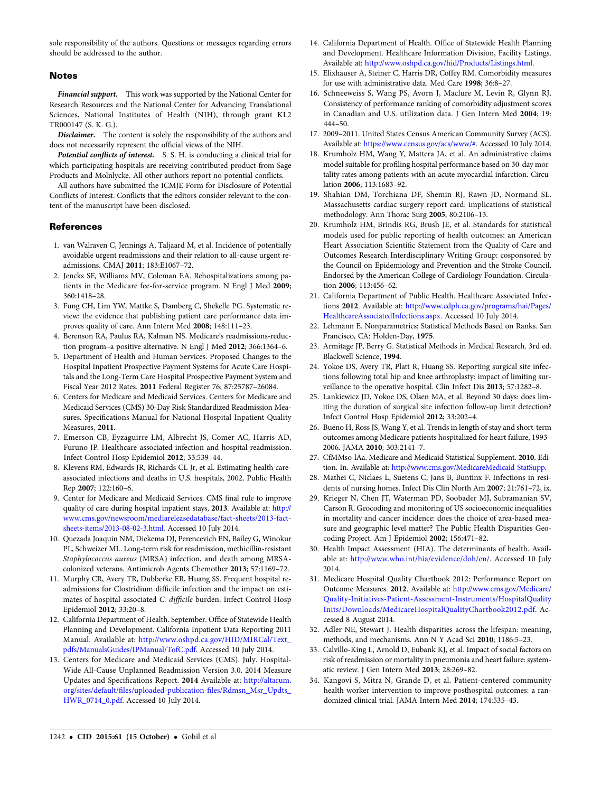<span id="page-8-0"></span>sole responsibility of the authors. Questions or messages regarding errors should be addressed to the author.

#### **Notes**

Financial support. This work was supported by the National Center for Research Resources and the National Center for Advancing Translational Sciences, National Institutes of Health (NIH), through grant KL2 TR000147 (S. K. G.).

Disclaimer. The content is solely the responsibility of the authors and does not necessarily represent the official views of the NIH.

Potential conflicts of interest. S. S. H. is conducting a clinical trial for which participating hospitals are receiving contributed product from Sage Products and Molnlycke. All other authors report no potential conflicts.

All authors have submitted the ICMJE Form for Disclosure of Potential Conflicts of Interest. Conflicts that the editors consider relevant to the content of the manuscript have been disclosed.

#### References

- 1. van Walraven C, Jennings A, Taljaard M, et al. Incidence of potentially avoidable urgent readmissions and their relation to all-cause urgent readmissions. CMAJ 2011; 183:E1067–72.
- 2. Jencks SF, Williams MV, Coleman EA. Rehospitalizations among patients in the Medicare fee-for-service program. N Engl J Med 2009; 360:1418–28.
- 3. Fung CH, Lim YW, Mattke S, Damberg C, Shekelle PG. Systematic review: the evidence that publishing patient care performance data improves quality of care. Ann Intern Med 2008; 148:111–23.
- 4. Berenson RA, Paulus RA, Kalman NS. Medicare's readmissions-reduction program–a positive alternative. N Engl J Med 2012; 366:1364–6.
- 5. Department of Health and Human Services. Proposed Changes to the Hospital Inpatient Prospective Payment Systems for Acute Care Hospitals and the Long-Term Care Hospital Prospective Payment System and Fiscal Year 2012 Rates. 2011 Federal Register 76; 87:25787–26084.
- 6. Centers for Medicare and Medicaid Services. Centers for Medicare and Medicaid Services (CMS) 30-Day Risk Standardized Readmission Measures. Specifications Manual for National Hospital Inpatient Quality Measures, 2011.
- 7. Emerson CB, Eyzaguirre LM, Albrecht JS, Comer AC, Harris AD, Furuno JP. Healthcare-associated infection and hospital readmission. Infect Control Hosp Epidemiol 2012; 33:539–44.
- 8. Klevens RM, Edwards JR, Richards CL Jr, et al. Estimating health careassociated infections and deaths in U.S. hospitals, 2002. Public Health Rep 2007; 122:160–6.
- 9. Center for Medicare and Medicaid Services. CMS final rule to improve quality of care during hospital inpatient stays, 2013. Available at: [http://](http://www.cms.gov/newsroom/mediareleasedatabase/fact-sheets/2013-fact-sheets-items/2013-08-02-3.html) [www.cms.gov/newsroom/mediareleasedatabase/fact-sheets/2013-fact](http://www.cms.gov/newsroom/mediareleasedatabase/fact-sheets/2013-fact-sheets-items/2013-08-02-3.html)[sheets-items/2013-08-02-3.html.](http://www.cms.gov/newsroom/mediareleasedatabase/fact-sheets/2013-fact-sheets-items/2013-08-02-3.html) Accessed 10 July 2014.
- 10. Quezada Joaquin NM, Diekema DJ, Perencevich EN, Bailey G, Winokur PL, Schweizer ML. Long-term risk for readmission, methicillin-resistant Staphylococcus aureus (MRSA) infection, and death among MRSAcolonized veterans. Antimicrob Agents Chemother 2013; 57:1169–72.
- 11. Murphy CR, Avery TR, Dubberke ER, Huang SS. Frequent hospital readmissions for Clostridium difficile infection and the impact on estimates of hospital-associated C. difficile burden. Infect Control Hosp Epidemiol 2012; 33:20–8.
- 12. California Department of Health. September. Office of Statewide Health Planning and Development. California Inpatient Data Reporting 2011 Manual. Available at: [http://www.oshpd.ca.gov/HID/MIRCal/Text\\_](http://www.oshpd.ca.gov/HID/MIRCal/Text_pdfs/ManualsGuides/IPManual/TofC.pdf) [pdfs/ManualsGuides/IPManual/TofC.pdf.](http://www.oshpd.ca.gov/HID/MIRCal/Text_pdfs/ManualsGuides/IPManual/TofC.pdf) Accessed 10 July 2014.
- 13. Centers for Medicare and Medicaid Services (CMS). July. Hospital-Wide All-Cause Unplanned Readmission Version 3.0. 2014 Measure Updates and Specifications Report. 2014 Available at: [http://altarum.](http://altarum.org/sites/default/files/uploaded-publication-files/Rdmsn_Msr_Updts_HWR_0714_0.pdf) org/sites/default/fi[les/uploaded-publication-](http://altarum.org/sites/default/files/uploaded-publication-files/Rdmsn_Msr_Updts_HWR_0714_0.pdf)files/Rdmsn\_Msr\_Updts\_ [HWR\\_0714\\_0.pdf.](http://altarum.org/sites/default/files/uploaded-publication-files/Rdmsn_Msr_Updts_HWR_0714_0.pdf) Accessed 10 July 2014.
- 14. California Department of Health. Office of Statewide Health Planning and Development. Healthcare Information Division, Facility Listings. Available at: <http://www.oshpd.ca.gov/hid/Products/Listings.html>.
- 15. Elixhauser A, Steiner C, Harris DR, Coffey RM. Comorbidity measures for use with administrative data. Med Care 1998; 36:8–27.
- 16. Schneeweiss S, Wang PS, Avorn J, Maclure M, Levin R, Glynn RJ. Consistency of performance ranking of comorbidity adjustment scores in Canadian and U.S. utilization data. J Gen Intern Med 2004; 19: 444–50.
- 17. 2009–2011. United States Census American Community Survey (ACS). Available at: <https://www.census.gov/acs/www/#>. Accessed 10 July 2014.
- 18. Krumholz HM, Wang Y, Mattera JA, et al. An administrative claims model suitable for profiling hospital performance based on 30-day mortality rates among patients with an acute myocardial infarction. Circulation 2006; 113:1683–92.
- 19. Shahian DM, Torchiana DF, Shemin RJ, Rawn JD, Normand SL. Massachusetts cardiac surgery report card: implications of statistical methodology. Ann Thorac Surg 2005; 80:2106–13.
- 20. Krumholz HM, Brindis RG, Brush JE, et al. Standards for statistical models used for public reporting of health outcomes: an American Heart Association Scientific Statement from the Quality of Care and Outcomes Research Interdisciplinary Writing Group: cosponsored by the Council on Epidemiology and Prevention and the Stroke Council. Endorsed by the American College of Cardiology Foundation. Circulation 2006; 113:456–62.
- 21. California Department of Public Health. Healthcare Associated Infections 2012. Available at: [http://www.cdph.ca.gov/programs/hai/Pages/](http://www.cdph.ca.gov/programs/hai/Pages/HealthcareAssociatedInfections.aspx) [HealthcareAssociatedInfections.aspx](http://www.cdph.ca.gov/programs/hai/Pages/HealthcareAssociatedInfections.aspx). Accessed 10 July 2014.
- 22. Lehmann E. Nonparametrics: Statistical Methods Based on Ranks. San Francisco, CA: Holden-Day, 1975.
- 23. Armitage JP, Berry G. Statistical Methods in Medical Research. 3rd ed. Blackwell Science, 1994.
- 24. Yokoe DS, Avery TR, Platt R, Huang SS. Reporting surgical site infections following total hip and knee arthroplasty: impact of limiting surveillance to the operative hospital. Clin Infect Dis 2013; 57:1282–8.
- 25. Lankiewicz JD, Yokoe DS, Olsen MA, et al. Beyond 30 days: does limiting the duration of surgical site infection follow-up limit detection? Infect Control Hosp Epidemiol 2012; 33:202–4.
- 26. Bueno H, Ross JS, Wang Y, et al. Trends in length of stay and short-term outcomes among Medicare patients hospitalized for heart failure, 1993– 2006. JAMA 2010; 303:2141–7.
- 27. CfMMso-lAa. Medicare and Medicaid Statistical Supplement. 2010. Edition. In. Available at: [http://www.cms.gov/MedicareMedicaid StatSupp](http://www.cms.gov/MedicareMedicaidStatSupp).
- 28. Mathei C, Niclaes L, Suetens C, Jans B, Buntinx F. Infections in residents of nursing homes. Infect Dis Clin North Am 2007; 21:761–72, ix.
- 29. Krieger N, Chen JT, Waterman PD, Soobader MJ, Subramanian SV, Carson R. Geocoding and monitoring of US socioeconomic inequalities in mortality and cancer incidence: does the choice of area-based measure and geographic level matter? The Public Health Disparities Geocoding Project. Am J Epidemiol 2002; 156:471–82.
- 30. Health Impact Assessment (HIA). The determinants of health. Available at: [http://www.who.int/hia/evidence/doh/en/.](http://www.who.int/hia/evidence/doh/en/) Accessed 10 July 2014.
- 31. Medicare Hospital Quality Chartbook 2012: Performance Report on Outcome Measures. 2012. Available at: [http://www.cms.gov/Medicare/](http://www.cms.gov/Medicare/Quality-Initiatives-Patient-Assessment-Instruments/HospitalQualityInits/Downloads/MedicareHospitalQualityChartbook2012.pdf) [Quality-Initiatives-Patient-Assessment-Instruments/HospitalQuality](http://www.cms.gov/Medicare/Quality-Initiatives-Patient-Assessment-Instruments/HospitalQualityInits/Downloads/MedicareHospitalQualityChartbook2012.pdf) [Inits/Downloads/MedicareHospitalQualityChartbook2012.pdf.](http://www.cms.gov/Medicare/Quality-Initiatives-Patient-Assessment-Instruments/HospitalQualityInits/Downloads/MedicareHospitalQualityChartbook2012.pdf) Accessed 8 August 2014.
- 32. Adler NE, Stewart J. Health disparities across the lifespan: meaning, methods, and mechanisms. Ann N Y Acad Sci 2010; 1186:5–23.
- 33. Calvillo-King L, Arnold D, Eubank KJ, et al. Impact of social factors on risk of readmission or mortality in pneumonia and heart failure: systematic review. J Gen Intern Med 2013; 28:269–82.
- 34. Kangovi S, Mitra N, Grande D, et al. Patient-centered community health worker intervention to improve posthospital outcomes: a randomized clinical trial. JAMA Intern Med 2014; 174:535–43.